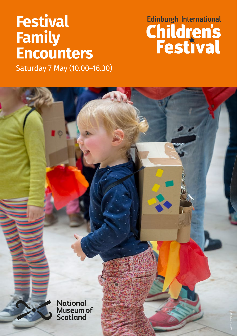# **Festival Family Encounters**

# Edinburgh International

*Ruth Armstrong*

Saturday 7 May (10.00–16.30)

**National** Museum of Scotland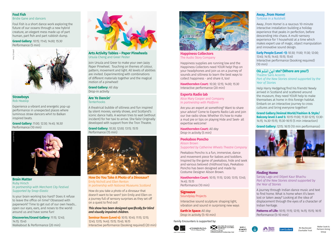### **Foul Fish**

Bridie Gane and dancers

Foul Fish is a short dance work exploring the future of our oceans through a new hybrid creature, an elegant mess made up of part human, part fish and part rubbish dump.

#### **Grand Gallery:** *10:15; 11:45; 14:00; 15:30* Performance (5 min)



#### **Strawboys** Rob Heaslip

Experience a vibrant and energetic pop-up performance in unexpected places where luminous straw dancers whirl to Balkan inspired beats.

**Grand Gallery:** *11:00; 12:30; 14:45; 16:30*



**Brain Matter** Ruby Hirsch *In partnership with Merchant City Festival Supported by Snap-Elastic*

Is your brain working too hard? Does it refuse to leave the office on time? Obsessed with paperwork? Time to get out of our own heads... open our eyes, ears, and noses to the world around us and have some fun!

**Discoveries/Grand Gallery:** *11:15; 12:45; 14:15; 15:45* Walkabout & Performance (20 min)



**Arts Activity Tables – Paper Pinwheels** Ursula Cheng and Greer Pester

Join Ursula and Greer to make your own Jazzy Paper Pinwheel. Touching on themes of colour, pattern, movement and light. All levels of abilities are invited. Experimenting with combinations of different materials together and the magical motion of a pinwheel!

**Grand Gallery:** *All day* Drop-in activity

#### **Are Ye Dancin' Tenterhooks**

A theatrical bubble of silliness and fun inspired by silent movies, variety shows, and Scotland's iconic dance halls. A woman tries to wait (without incident) for her taxi to arrive. She fails! Originally developed with support from the Tron Theatre.

**Grand Gallery:** *10:30; 12:00; 13:15; 15:15* Performance (15 min)



**How Do You Take A Photo of a Dinosaur?** Emily Nicholl and Ellen Renton *In partnership with National Museums Scotland*

How do you take a photo of a dinosaur that doesn't want to be seen? Join Emily and Ellen on a journey full of sensory surprises as they set off on a quest to find out!

#### *This show has been designed specifically for blind and visually impaired children.*

**Seminar Room (Level 4):** *10:15; 10:45; 11:15; 12:15; 12:45; 13:15; 14:45; 15:15; 15:45; 16:15*



**Happiness Collectors** The Audio Story Company

Happiness supplies are running low and the Happiness Collectors need YOUR help! Pop on your headphones and join us on a journey of sounds and silliness to learn the best ways to collect happiness - and share it, too!

**Hawthornden Court:** *10:30; 12:15; 14:00; 15:30* Interactive performance (20 min)

#### **Experts Radio lab**

Alice Mary Cooper and Company *In partnership with Platform*

Are you an expert at something? Want to share your advice? Come to Experts Radio Lab and join our live radio show. Whether it's how to make a mud pie or tips on playing Hide and Seek- all expertise welcome!

#### **Hawthornden Court:** *All day* Drop-in activity (5 min)

#### **Peekaboo Poncho**

Alison Brown *Supported by Catherine Wheels Theatre Company*

Peekaboo Poncho is a fun, immersive, dance and movement piece for babies and toddlers. Inspired by the game of peekaboo, hide and seek and various beloved childhood toys, Peekaboo Poncho has been designed and made by Costume Designer Alison Brown.

**Hawthornden Court:** *10:15; 11:15; 12:00; 13:15; 13:45; 14:45; 15:15* Performance (10 min)

#### **Signwave**

Soundplay Projects

Interactive sound sculpture: shaping light, vibration and sound in surprising new ways

**Earth in Space:** *All day* Drop-in activity (5–10 min)

Family Encounters is supported by:









RS MacDonald Charitable Trust Walter Scott & Partners Giving Group

#### **Away...from Home!** Tortoise in a Nutshell

Away…From Home! is a raucous 10-minute interactive installation building a holiday experience that peaks in perfection, before descending into chaos. A multi-sensory experience for 1 household at a time which makes expert use of magic, object manipulation and innovative sound design.

**Early People (Level -1):** *10:30; 11:00; 11:30; 12:00; 13:45; 14:15; 14:45; 15:15; 15:45* Interactive performance (booking required) (10 min)

#### **Où ste? (Where are you?)** Theatre Sans Accents

*Part of the New Stories strand supported by the Year of Stories*

Help Harry Hedgehog find his friends! Newly arrived in Scotland and scattered around the museum, they need YOUR help to make themselves at home in this foreign habitat. Embark on an interactive journey to cross cultures and bring everyone together!

**Grand Gallery/Animal World/Fashion & Style/**

**Balcony level 3 and 5:** *10:15-11:00; 11:30-12:15; 13:30- 14:15; 14:30-15:15; 15:30-16:15* (5 min interaction)

**Grand Gallery:** *12:15; 16:15* (10 min performance)



#### **Finding Home**

Sanjay Lago and Diljeet Kaur Bhachu *Part of the New Stories strand supported by the Year of Stories*

A journey through Indian dance music and text to find home. What is home when it's been lost or taken away? Looking at the idea of displacement through the eyes of a character of Indian heritage.

**Patterns of Life:** *10:15; 11:15; 12:15; 14:15; 15:15; 16:15* Performance (5–10 min)